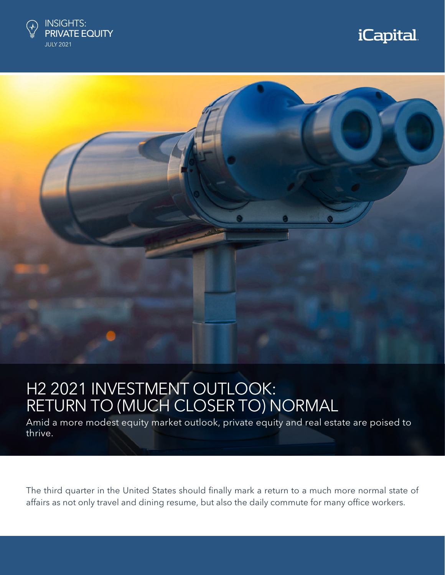

# *iCapital.*



# H2 2021 INVESTMENT OUTLOOK: RETURN TO (MUCH CLOSER TO) NORMAL

Amid a more modest equity market outlook, private equity and real estate are poised to thrive.

The third quarter in the United States should finally mark a return to a much more normal state of affairs as not only travel and dining resume, but also the daily commute for many office workers.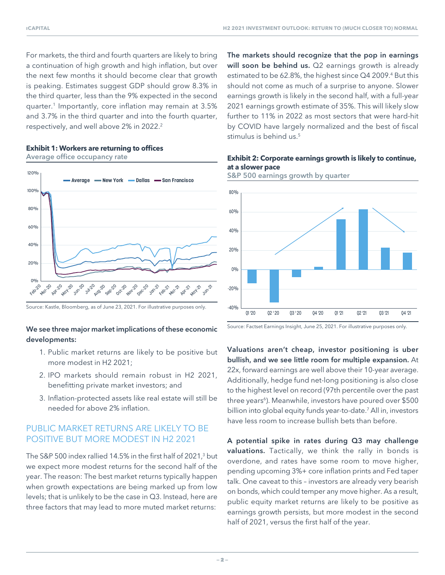For markets, the third and fourth quarters are likely to bring a continuation of high growth and high inflation, but over the next few months it should become clear that growth is peaking. Estimates suggest GDP should grow 8.3% in the third quarter, less than the 9% expected in the second quarter.1 Importantly, core inflation may remain at 3.5% and 3.7% in the third quarter and into the fourth quarter, respectively, and well above 2% in 2022.<sup>2</sup>



# **Exhibit 1: Workers are returning to offices**

# We see three major market implications of these economic developments:

- 1. Public market returns are likely to be positive but more modest in H2 2021;
- 2. IPO markets should remain robust in H2 2021, benefitting private market investors; and
- 3. Inflation-protected assets like real estate will still be needed for above 2% inflation.

# PUBLIC MARKET RETURNS ARE LIKELY TO BE POSITIVE BUT MORE MODEST IN H2 2021

The S&P 500 index rallied 14.5% in the first half of 2021, $^3$  but we expect more modest returns for the second half of the year. The reason: The best market returns typically happen when growth expectations are being marked up from low levels; that is unlikely to be the case in Q3. Instead, here are three factors that may lead to more muted market returns:

The markets should recognize that the pop in earnings will soon be behind us. Q2 earnings growth is already estimated to be 62.8%, the highest since  $Q4$  2009.<sup>4</sup> But this should not come as much of a surprise to anyone. Slower earnings growth is likely in the second half, with a full-year 2021 earnings growth estimate of 35%. This will likely slow further to 11% in 2022 as most sectors that were hard-hit by COVID have largely normalized and the best of fiscal stimulus is behind us.<sup>5</sup>

### Average office occupancy rate **Exhibit 2: Corporate earnings growth is likely to continue, at a slower pace**



S&P 500 earnings growth by quarter

Source: Factset Earnings Insight, June 25, 2021. For illustrative purposes only.

Valuations aren't cheap, investor positioning is uber bullish, and we see little room for multiple expansion. At 22x, forward earnings are well above their 10-year average. Additionally, hedge fund net-long positioning is also close to the highest level on record (97th percentile over the past three years<sup>6</sup>). Meanwhile, investors have poured over \$500 billion into global equity funds year-to-date.7 All in, investors have less room to increase bullish bets than before.

A potential spike in rates during Q3 may challenge valuations. Tactically, we think the rally in bonds is overdone, and rates have some room to move higher, pending upcoming 3%+ core inflation prints and Fed taper talk. One caveat to this – investors are already very bearish on bonds, which could temper any move higher. As a result, public equity market returns are likely to be positive as earnings growth persists, but more modest in the second half of 2021, versus the first half of the year.

Source: Kastle, Bloomberg, as of June 23, 2021. For illustrative purposes only.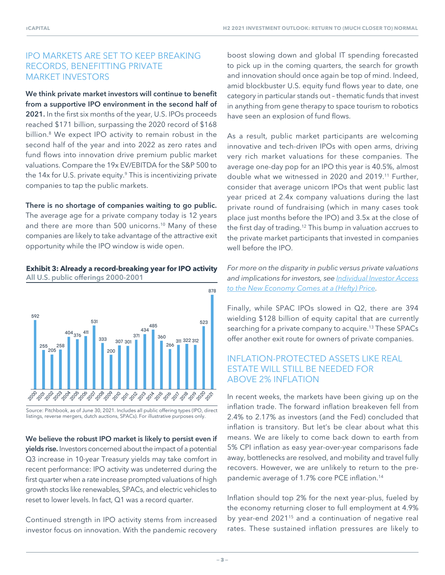# IPO MARKETS ARE SET TO KEEP BREAKING RECORDS, BENEFITTING PRIVATE MARKET INVESTORS

We think private market investors will continue to benefit from a supportive IPO environment in the second half of 2021. In the first six months of the year, U.S. IPOs proceeds reached \$171 billion, surpassing the 2020 record of \$168 billion.8 We expect IPO activity to remain robust in the second half of the year and into 2022 as zero rates and fund flows into innovation drive premium public market valuations. Compare the 19x EV/EBITDA for the S&P 500 to the 14x for U.S. private equity.<sup>9</sup> This is incentivizing private companies to tap the public markets.

#### There is no shortage of companies waiting to go public.

The average age for a private company today is 12 years and there are more than 500 unicorns.10 Many of these companies are likely to take advantage of the attractive exit opportunity while the IPO window is wide open.

#### **Exhibit 3: Already a record-breaking year for IPO activity** All U.S. public offerings 2000-2001



Source: Pitchbook, as of June 30, 2021. Includes all public offering types (IPO, direct listings, reverse mergers, dutch auctions, SPACs). For illustrative purposes only.

We believe the robust IPO market is likely to persist even if yields rise. Investors concerned about the impact of a potential Q3 increase in 10-year Treasury yields may take comfort in recent performance: IPO activity was undeterred during the first quarter when a rate increase prompted valuations of high growth stocks like renewables, SPACs, and electric vehicles to reset to lower levels. In fact, Q1 was a record quarter.

Continued strength in IPO activity stems from increased investor focus on innovation. With the pandemic recovery boost slowing down and global IT spending forecasted to pick up in the coming quarters, the search for growth and innovation should once again be top of mind. Indeed, amid blockbuster U.S. equity fund flows year to date, one category in particular stands out – thematic funds that invest in anything from gene therapy to space tourism to robotics have seen an explosion of fund flows.

As a result, public market participants are welcoming innovative and tech-driven IPOs with open arms, driving very rich market valuations for these companies. The average one-day pop for an IPO this year is 40.5%, almost double what we witnessed in 2020 and 2019.11 Further, consider that average unicorn IPOs that went public last year priced at 2.4x company valuations during the last private round of fundraising (which in many cases took place just months before the IPO) and 3.5x at the close of the first day of trading.<sup>12</sup> This bump in valuation accrues to the private market participants that invested in companies well before the IPO.

*For more on the disparity in public versus private valuations and implications for investors, see Individual Investor Access to the New Economy Comes at a (Hefty) Price.*

Finally, while SPAC IPOs slowed in Q2, there are 394 wielding \$128 billion of equity capital that are currently searching for a private company to acquire.<sup>13</sup> These SPACs offer another exit route for owners of private companies.

# INFLATION-PROTECTED ASSETS LIKE REAL ESTATE WILL STILL BE NEEDED FOR ABOVE 2% INFLATION

In recent weeks, the markets have been giving up on the inflation trade. The forward inflation breakeven fell from 2.4% to 2.17% as investors (and the Fed) concluded that inflation is transitory. But let's be clear about what this means. We are likely to come back down to earth from 5% CPI inflation as easy year-over-year comparisons fade away, bottlenecks are resolved, and mobility and travel fully recovers. However, we are unlikely to return to the prepandemic average of 1.7% core PCE inflation.14

Inflation should top 2% for the next year-plus, fueled by the economy returning closer to full employment at 4.9% by year-end 2021<sup>15</sup> and a continuation of negative real rates. These sustained inflation pressures are likely to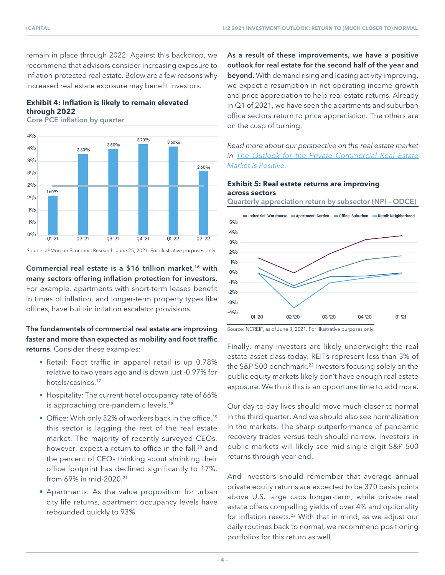remain in place through 2022. Against this backdrop, we recommend that advisors consider increasing exposure to inflation-protected real estate. Below are a few reasons why increased real estate exposure may benefit investors.

# **Exhibit 4: Inflation is likely to remain elevated through 2022**

Core PCE inflation by quarter



Source: JPMorgan Economic Research, June 25, 2021. For illustrative purposes only.

# Commercial real estate is a \$16 trillion market,<sup>16</sup> with many sectors offering inflation protection for investors. For example, apartments with short-term leases benefit in times of inflation, and longer-term property types like offices, have built-in inflation escalator provisions.

# The fundamentals of commercial real estate are improving faster and more than expected as mobility and foot traffic returns. Consider these examples:

- Retail: Foot traffic in apparel retail is up 0.78% relative to two years ago and is down just -0.97% for hotels/casinos.17
- Hospitality: The current hotel occupancy rate of 66% is approaching pre-pandemic levels.<sup>18</sup>
- Office: With only 32% of workers back in the office,<sup>19</sup> this sector is lagging the rest of the real estate market. The majority of recently surveyed CEOs, however, expect a return to office in the fall,<sup>20</sup> and the percent of CEOs thinking about shrinking their office footprint has declined significantly to 17%, from 69% in mid-2020.21
- Apartments: As the value proposition for urban city life returns, apartment occupancy levels have rebounded quickly to 93%.

As a result of these improvements, we have a positive outlook for real estate for the second half of the year and beyond. With demand rising and leasing activity improving, we expect a resumption in net operating income growth and price appreciation to help real estate returns. Already in Q1 of 2021, we have seen the apartments and suburban office sectors return to price appreciation. The others are on the cusp of turning.

*Read more about our perspective on the real estate market in The Outlook for the Private Commercial Real Estate Market Is Positive.*

#### **Exhibit 5: Real estate returns are improving across sectors**

Quarterly appreciation return by subsector (NPI – ODCE)



Source: NCREIF, as of June 3, 2021. For illustrative purposes only.

Finally, many investors are likely underweight the real estate asset class today. REITs represent less than 3% of the S&P 500 benchmark.<sup>22</sup> Investors focusing solely on the public equity markets likely don't have enough real estate exposure. We think this is an opportune time to add more.

Our day-to-day lives should move much closer to normal in the third quarter. And we should also see normalization in the markets. The sharp outperformance of pandemic recovery trades versus tech should narrow. Investors in public markets will likely see mid-single digit S&P 500 returns through year-end.

And investors should remember that average annual private equity returns are expected to be 370 basis points above U.S. large caps longer-term, while private real estate offers compelling yields of over 4% and optionality for inflation resets.23 With that in mind, as we adjust our daily routines back to normal, we recommend positioning portfolios for this return as well.